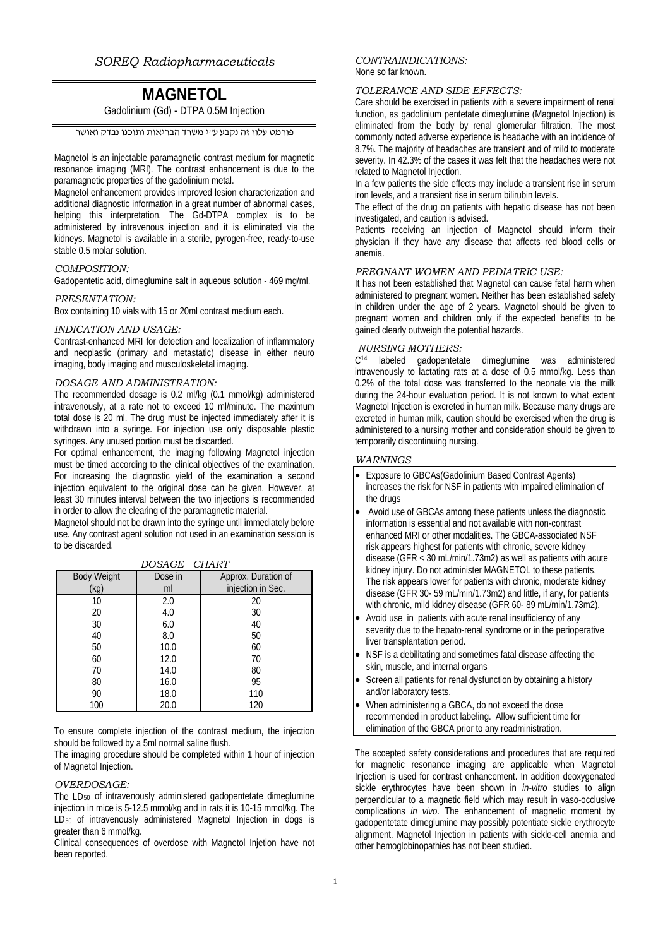# **MAGNETOL**

Gadolinium (Gd) - DTPA 0.5M Injection

פורמט עלון זה נקבע ע"י משרד הבריאות ותוכנו נבדק ואושר

Magnetol is an injectable paramagnetic contrast medium for magnetic resonance imaging (MRI). The contrast enhancement is due to the paramagnetic properties of the gadolinium metal.

Magnetol enhancement provides improved lesion characterization and additional diagnostic information in a great number of abnormal cases, helping this interpretation. The Gd-DTPA complex is to be administered by intravenous injection and it is eliminated via the kidneys. Magnetol is available in a sterile, pyrogen-free, ready-to-use stable 0.5 molar solution.

# *COMPOSITION:*

Gadopentetic acid, dimeglumine salt in aqueous solution - 469 mg/ml.

#### *PRESENTATION:*

Box containing 10 vials with 15 or 20ml contrast medium each.

#### *INDICATION AND USAGE:*

Contrast-enhanced MRI for detection and localization of inflammatory and neoplastic (primary and metastatic) disease in either neuro imaging, body imaging and musculoskeletal imaging.

## *DOSAGE AND ADMINISTRATION:*

The recommended dosage is 0.2 ml/kg (0.1 mmol/kg) administered intravenously, at a rate not to exceed 10 ml/minute. The maximum total dose is 20 ml. The drug must be injected immediately after it is withdrawn into a syringe. For injection use only disposable plastic syringes. Any unused portion must be discarded.

For optimal enhancement, the imaging following Magnetol injection must be timed according to the clinical objectives of the examination. For increasing the diagnostic yield of the examination a second injection equivalent to the original dose can be given. However, at least 30 minutes interval between the two injections is recommended in order to allow the clearing of the paramagnetic material.

Magnetol should not be drawn into the syringe until immediately before use. Any contrast agent solution not used in an examination session is to be discarded.

| <b>Body Weight</b> | Dose in | Approx. Duration of |
|--------------------|---------|---------------------|
| (kg)               | ml      | injection in Sec.   |
| 10                 | 2.0     | 20                  |
| 20                 | 4.0     | 30                  |
| 30                 | 6.0     | 40                  |
| 40                 | 8.0     | 50                  |
| 50                 | 10.0    | 60                  |
| 60                 | 12.0    | 70                  |
| 70                 | 14.0    | 80                  |
| 80                 | 16.0    | 95                  |
| 90                 | 18.0    | 110                 |
| 100                | 20.0    | 120                 |

*DOSAGE CHART*

To ensure complete injection of the contrast medium, the injection should be followed by a 5ml normal saline flush.

The imaging procedure should be completed within 1 hour of injection of Magnetol Injection.

## *OVERDOSAGE:*

The LD50 of intravenously administered gadopentetate dimeglumine injection in mice is 5-12.5 mmol/kg and in rats it is 10-15 mmol/kg. The LD<sub>50</sub> of intravenously administered Magnetol Injection in dogs is greater than 6 mmol/kg.

Clinical consequences of overdose with Magnetol Injetion have not been reported.

#### *CONTRAINDICATIONS:* None so far known.

#### *TOLERANCE AND SIDE EFFECTS:*

Care should be exercised in patients with a severe impairment of renal function, as gadolinium pentetate dimeglumine (Magnetol Injection) is eliminated from the body by renal glomerular filtration. The most commonly noted adverse experience is headache with an incidence of 8.7%. The majority of headaches are transient and of mild to moderate severity. In 42.3% of the cases it was felt that the headaches were not related to Magnetol Injection.

In a few patients the side effects may include a transient rise in serum iron levels, and a transient rise in serum bilirubin levels.

The effect of the drug on patients with hepatic disease has not been investigated, and caution is advised.

Patients receiving an injection of Magnetol should inform their physician if they have any disease that affects red blood cells or anemia.

# *PREGNANT WOMEN AND PEDIATRIC USE:*

It has not been established that Magnetol can cause fetal harm when administered to pregnant women. Neither has been established safety in children under the age of 2 years. Magnetol should be given to pregnant women and children only if the expected benefits to be gained clearly outweigh the potential hazards.

### *NURSING MOTHERS:*

C<sup>14</sup> labeled gadopentetate dimeglumine was administered intravenously to lactating rats at a dose of 0.5 mmol/kg. Less than 0.2% of the total dose was transferred to the neonate via the milk during the 24-hour evaluation period. It is not known to what extent Magnetol Injection is excreted in human milk. Because many drugs are excreted in human milk, caution should be exercised when the drug is administered to a nursing mother and consideration should be given to temporarily discontinuing nursing.

# *WARNINGS*

- Exposure to GBCAs(Gadolinium Based Contrast Agents) increases the risk for NSF in patients with impaired elimination of the drugs
- Avoid use of GBCAs among these patients unless the diagnostic information is essential and not available with non-contrast enhanced MRI or other modalities. The GBCA-associated NSF risk appears highest for patients with chronic, severe kidney disease (GFR < 30 mL/min/1.73m2) as well as patients with acute kidney injury. Do not administer MAGNETOL to these patients. The risk appears lower for patients with chronic, moderate kidney disease (GFR 30- 59 mL/min/1.73m2) and little, if any, for patients with chronic, mild kidney disease (GFR 60- 89 mL/min/1.73m2).
- Avoid use in patients with acute renal insufficiency of any severity due to the hepato-renal syndrome or in the perioperative liver transplantation period.
- NSF is a debilitating and sometimes fatal disease affecting the skin, muscle, and internal organs
- Screen all patients for renal dysfunction by obtaining a history and/or laboratory tests.
- When administering a GBCA, do not exceed the dose recommended in product labeling. Allow sufficient time for elimination of the GBCA prior to any readministration.

The accepted safety considerations and procedures that are required for magnetic resonance imaging are applicable when Magnetol Injection is used for contrast enhancement. In addition deoxygenated sickle erythrocytes have been shown in *in-vitro* studies to align perpendicular to a magnetic field which may result in vaso-occlusive complications *in vivo*. The enhancement of magnetic moment by gadopentetate dimeglumine may possibly potentiate sickle erythrocyte alignment. Magnetol Injection in patients with sickle-cell anemia and other hemoglobinopathies has not been studied.